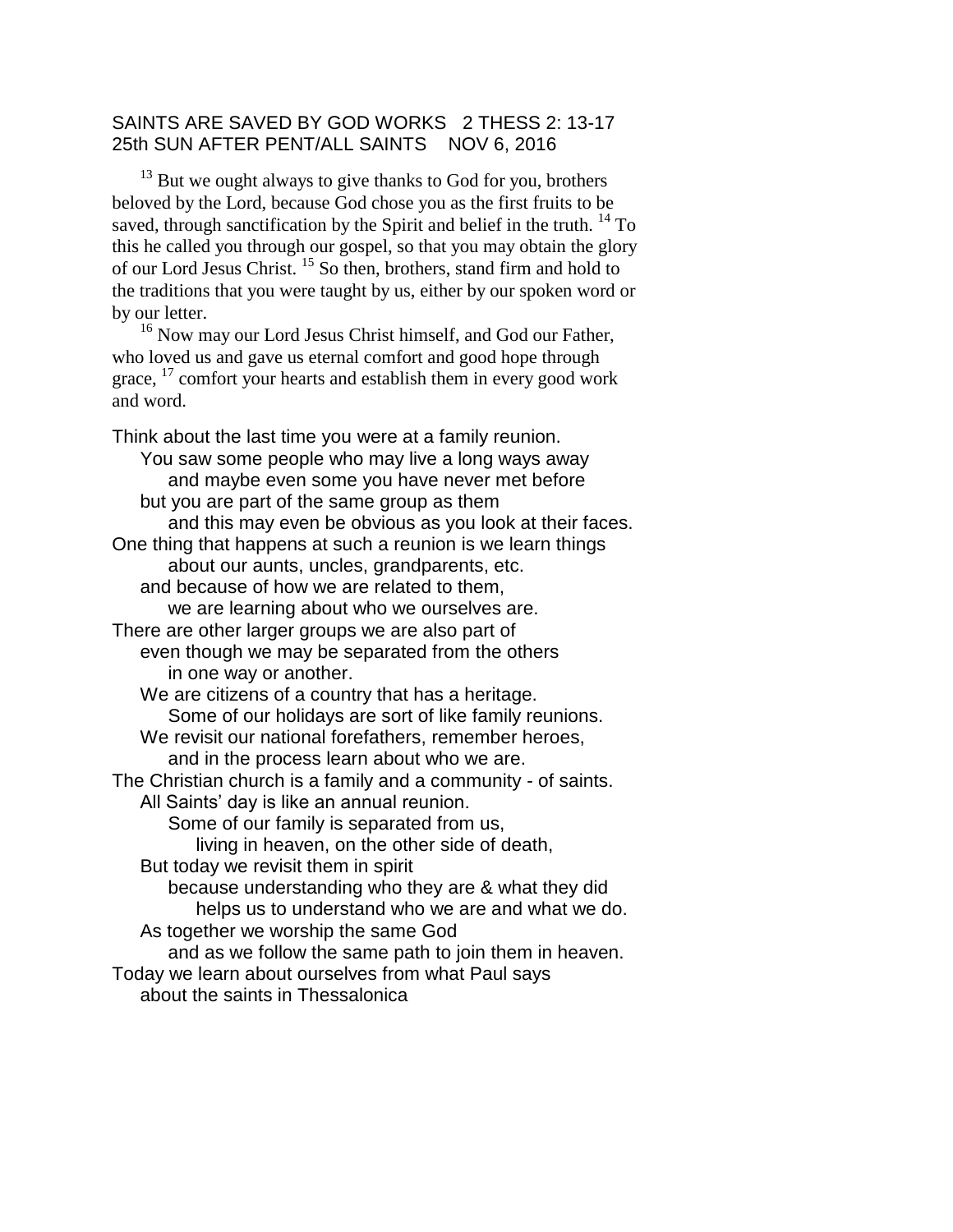## SAINTS ARE SAVED BY GOD WORKS 2 THESS 2: 13-17 25th SUN AFTER PENT/ALL SAINTS NOV 6, 2016

 $13$  But we ought always to give thanks to God for you, brothers beloved by the Lord, because God chose you as the first fruits to be saved, through sanctification by the Spirit and belief in the truth.  $^{14}$  To this he called you through our gospel, so that you may obtain the glory of our Lord Jesus Christ. <sup>15</sup> So then, brothers, stand firm and hold to the traditions that you were taught by us, either by our spoken word or by our letter.

<sup>16</sup> Now may our Lord Jesus Christ himself, and God our Father, who loved us and gave us eternal comfort and good hope through grace,  $^{17}$  comfort your hearts and establish them in every good work and word.

Think about the last time you were at a family reunion. You saw some people who may live a long ways away and maybe even some you have never met before but you are part of the same group as them and this may even be obvious as you look at their faces. One thing that happens at such a reunion is we learn things about our aunts, uncles, grandparents, etc. and because of how we are related to them, we are learning about who we ourselves are. There are other larger groups we are also part of even though we may be separated from the others in one way or another. We are citizens of a country that has a heritage. Some of our holidays are sort of like family reunions. We revisit our national forefathers, remember heroes, and in the process learn about who we are. The Christian church is a family and a community - of saints. All Saints' day is like an annual reunion. Some of our family is separated from us, living in heaven, on the other side of death, But today we revisit them in spirit because understanding who they are & what they did helps us to understand who we are and what we do. As together we worship the same God and as we follow the same path to join them in heaven. Today we learn about ourselves from what Paul says about the saints in Thessalonica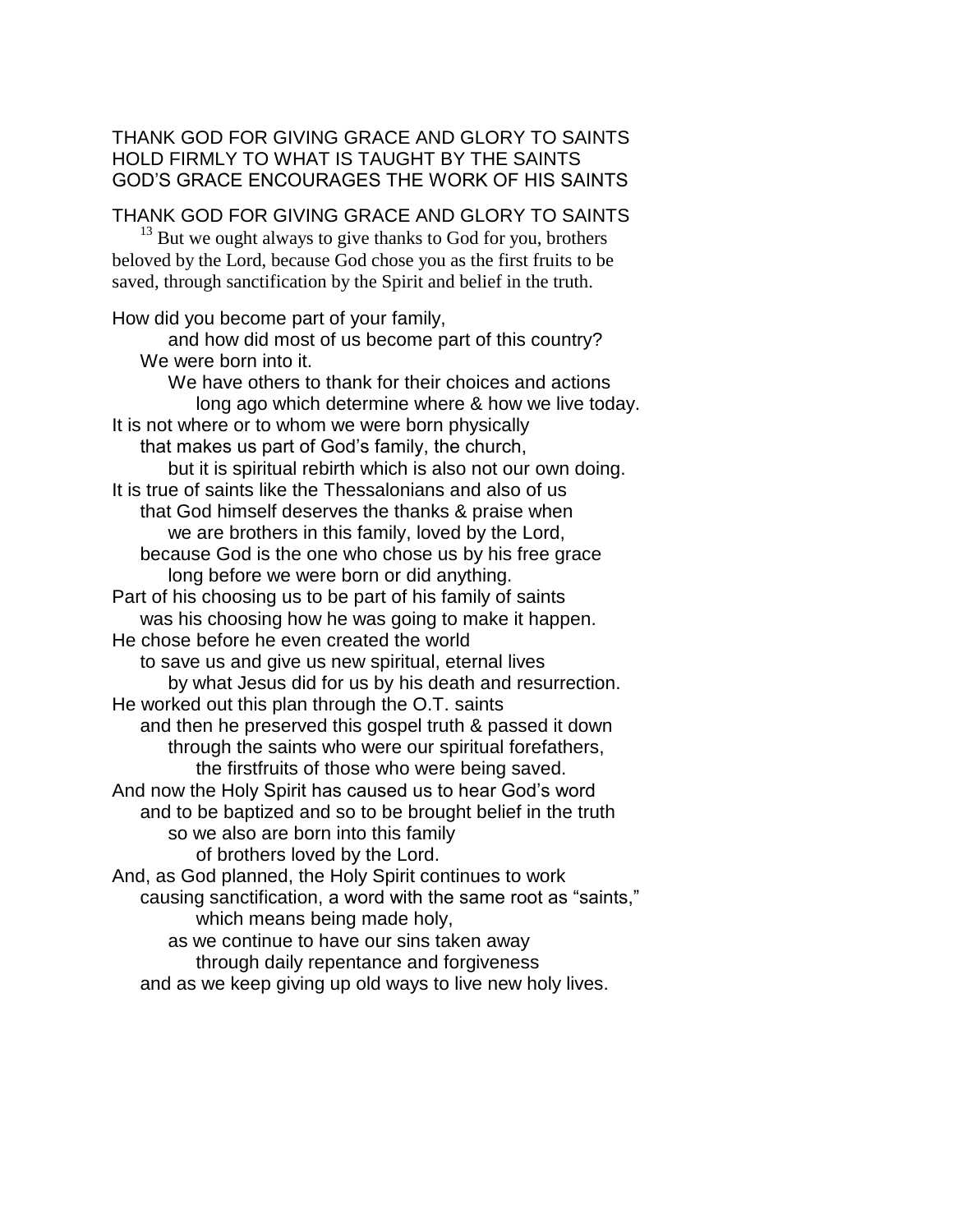## THANK GOD FOR GIVING GRACE AND GLORY TO SAINTS HOLD FIRMLY TO WHAT IS TAUGHT BY THE SAINTS GOD'S GRACE ENCOURAGES THE WORK OF HIS SAINTS

THANK GOD FOR GIVING GRACE AND GLORY TO SAINTS

 $13$  But we ought always to give thanks to God for you, brothers beloved by the Lord, because God chose you as the first fruits to be saved, through sanctification by the Spirit and belief in the truth.

How did you become part of your family, and how did most of us become part of this country? We were born into it. We have others to thank for their choices and actions long ago which determine where & how we live today. It is not where or to whom we were born physically that makes us part of God's family, the church, but it is spiritual rebirth which is also not our own doing. It is true of saints like the Thessalonians and also of us that God himself deserves the thanks & praise when we are brothers in this family, loved by the Lord, because God is the one who chose us by his free grace long before we were born or did anything. Part of his choosing us to be part of his family of saints was his choosing how he was going to make it happen. He chose before he even created the world to save us and give us new spiritual, eternal lives by what Jesus did for us by his death and resurrection. He worked out this plan through the O.T. saints and then he preserved this gospel truth & passed it down through the saints who were our spiritual forefathers, the firstfruits of those who were being saved. And now the Holy Spirit has caused us to hear God's word and to be baptized and so to be brought belief in the truth so we also are born into this family of brothers loved by the Lord. And, as God planned, the Holy Spirit continues to work causing sanctification, a word with the same root as "saints," which means being made holy, as we continue to have our sins taken away through daily repentance and forgiveness and as we keep giving up old ways to live new holy lives.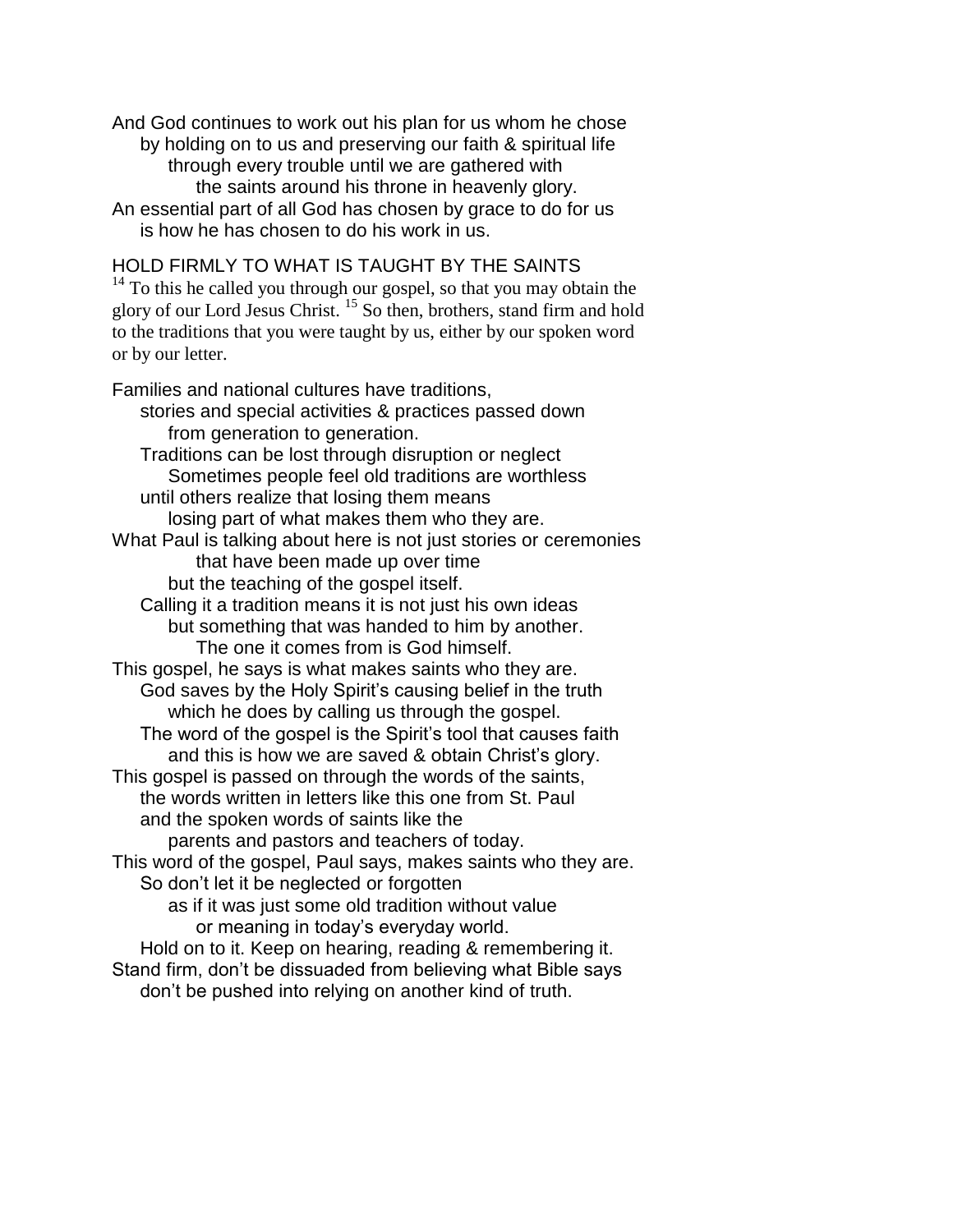And God continues to work out his plan for us whom he chose by holding on to us and preserving our faith & spiritual life through every trouble until we are gathered with the saints around his throne in heavenly glory. An essential part of all God has chosen by grace to do for us

is how he has chosen to do his work in us.

or by our letter.

HOLD FIRMLY TO WHAT IS TAUGHT BY THE SAINTS  $14$  To this he called you through our gospel, so that you may obtain the glory of our Lord Jesus Christ. <sup>15</sup> So then, brothers, stand firm and hold to the traditions that you were taught by us, either by our spoken word

Families and national cultures have traditions, stories and special activities & practices passed down from generation to generation. Traditions can be lost through disruption or neglect Sometimes people feel old traditions are worthless until others realize that losing them means losing part of what makes them who they are. What Paul is talking about here is not just stories or ceremonies that have been made up over time but the teaching of the gospel itself. Calling it a tradition means it is not just his own ideas but something that was handed to him by another. The one it comes from is God himself. This gospel, he says is what makes saints who they are. God saves by the Holy Spirit's causing belief in the truth which he does by calling us through the gospel. The word of the gospel is the Spirit's tool that causes faith and this is how we are saved & obtain Christ's glory. This gospel is passed on through the words of the saints, the words written in letters like this one from St. Paul and the spoken words of saints like the parents and pastors and teachers of today. This word of the gospel, Paul says, makes saints who they are. So don't let it be neglected or forgotten as if it was just some old tradition without value or meaning in today's everyday world. Hold on to it. Keep on hearing, reading & remembering it. Stand firm, don't be dissuaded from believing what Bible says don't be pushed into relying on another kind of truth.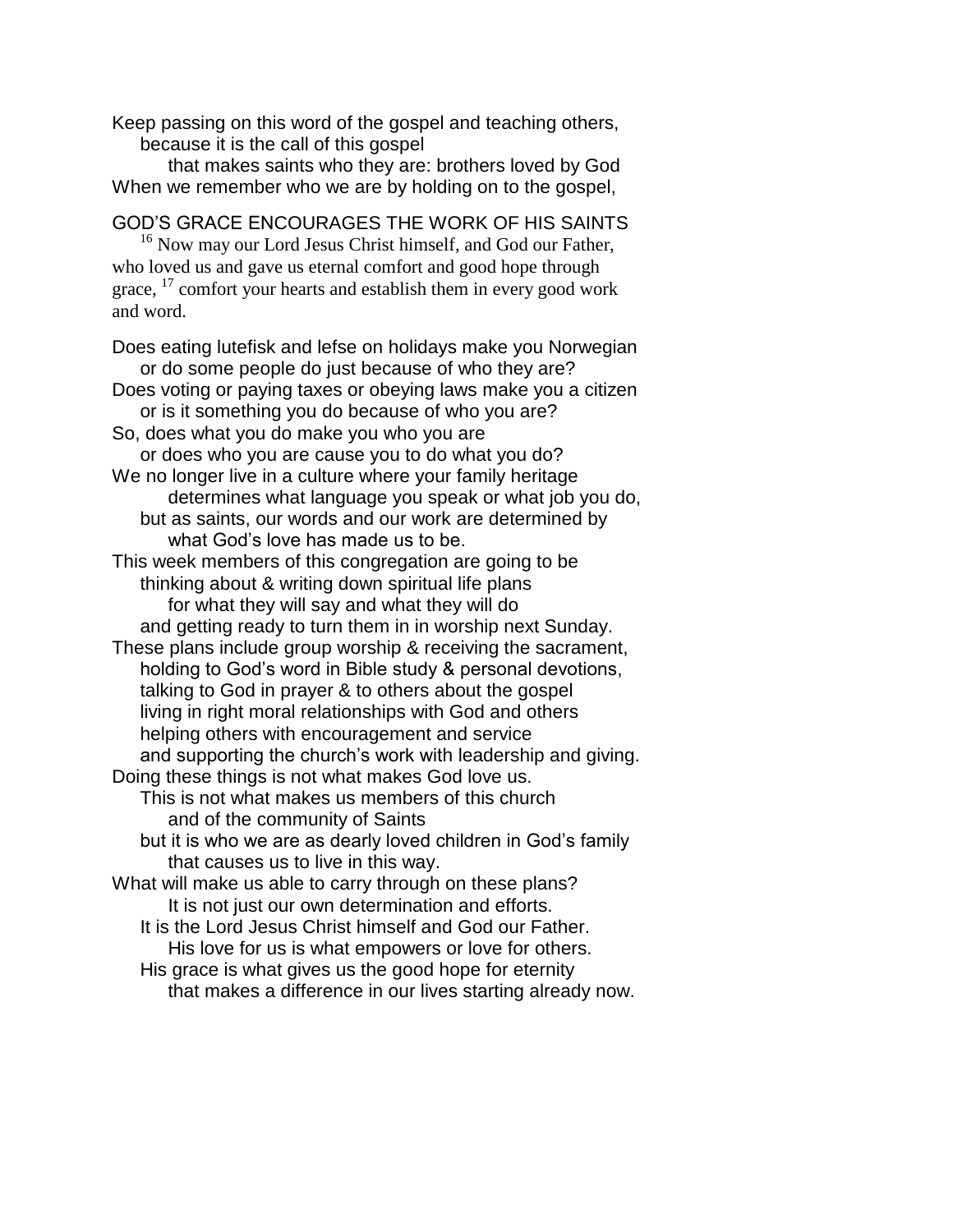Keep passing on this word of the gospel and teaching others, because it is the call of this gospel

that makes saints who they are: brothers loved by God When we remember who we are by holding on to the gospel,

GOD'S GRACE ENCOURAGES THE WORK OF HIS SAINTS

<sup>16</sup> Now may our Lord Jesus Christ himself, and God our Father, who loved us and gave us eternal comfort and good hope through grace,  $^{17}$  comfort your hearts and establish them in every good work and word.

Does eating lutefisk and lefse on holidays make you Norwegian or do some people do just because of who they are? Does voting or paying taxes or obeying laws make you a citizen or is it something you do because of who you are? So, does what you do make you who you are or does who you are cause you to do what you do? We no longer live in a culture where your family heritage determines what language you speak or what job you do, but as saints, our words and our work are determined by what God's love has made us to be. This week members of this congregation are going to be thinking about & writing down spiritual life plans for what they will say and what they will do and getting ready to turn them in in worship next Sunday. These plans include group worship & receiving the sacrament, holding to God's word in Bible study & personal devotions, talking to God in prayer & to others about the gospel living in right moral relationships with God and others helping others with encouragement and service and supporting the church's work with leadership and giving. Doing these things is not what makes God love us. This is not what makes us members of this church and of the community of Saints but it is who we are as dearly loved children in God's family that causes us to live in this way. What will make us able to carry through on these plans? It is not just our own determination and efforts. It is the Lord Jesus Christ himself and God our Father. His love for us is what empowers or love for others. His grace is what gives us the good hope for eternity that makes a difference in our lives starting already now.